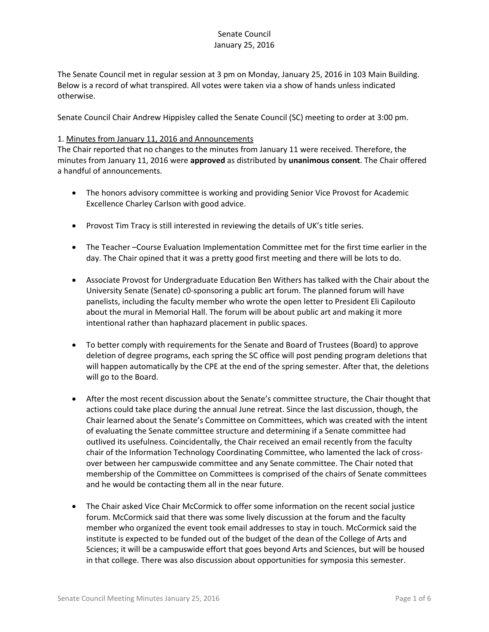The Senate Council met in regular session at 3 pm on Monday, January 25, 2016 in 103 Main Building. Below is a record of what transpired. All votes were taken via a show of hands unless indicated otherwise.

Senate Council Chair Andrew Hippisley called the Senate Council (SC) meeting to order at 3:00 pm.

#### 1. Minutes from January 11, 2016 and Announcements

The Chair reported that no changes to the minutes from January 11 were received. Therefore, the minutes from January 11, 2016 were **approved** as distributed by **unanimous consent**. The Chair offered a handful of announcements.

- The honors advisory committee is working and providing Senior Vice Provost for Academic Excellence Charley Carlson with good advice.
- Provost Tim Tracy is still interested in reviewing the details of UK's title series.
- The Teacher –Course Evaluation Implementation Committee met for the first time earlier in the day. The Chair opined that it was a pretty good first meeting and there will be lots to do.
- Associate Provost for Undergraduate Education Ben Withers has talked with the Chair about the University Senate (Senate) c0-sponsoring a public art forum. The planned forum will have panelists, including the faculty member who wrote the open letter to President Eli Capilouto about the mural in Memorial Hall. The forum will be about public art and making it more intentional rather than haphazard placement in public spaces.
- To better comply with requirements for the Senate and Board of Trustees (Board) to approve deletion of degree programs, each spring the SC office will post pending program deletions that will happen automatically by the CPE at the end of the spring semester. After that, the deletions will go to the Board.
- After the most recent discussion about the Senate's committee structure, the Chair thought that actions could take place during the annual June retreat. Since the last discussion, though, the Chair learned about the Senate's Committee on Committees, which was created with the intent of evaluating the Senate committee structure and determining if a Senate committee had outlived its usefulness. Coincidentally, the Chair received an email recently from the faculty chair of the Information Technology Coordinating Committee, who lamented the lack of crossover between her campuswide committee and any Senate committee. The Chair noted that membership of the Committee on Committees is comprised of the chairs of Senate committees and he would be contacting them all in the near future.
- The Chair asked Vice Chair McCormick to offer some information on the recent social justice forum. McCormick said that there was some lively discussion at the forum and the faculty member who organized the event took email addresses to stay in touch. McCormick said the institute is expected to be funded out of the budget of the dean of the College of Arts and Sciences; it will be a campuswide effort that goes beyond Arts and Sciences, but will be housed in that college. There was also discussion about opportunities for symposia this semester.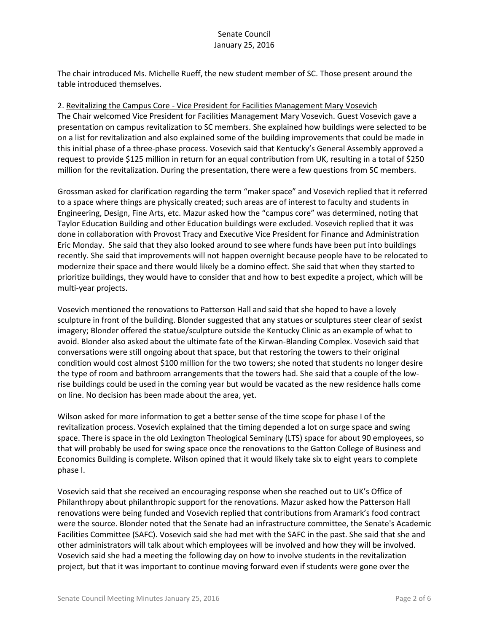The chair introduced Ms. Michelle Rueff, the new student member of SC. Those present around the table introduced themselves.

#### 2. Revitalizing the Campus Core - Vice President for Facilities Management Mary Vosevich

The Chair welcomed Vice President for Facilities Management Mary Vosevich. Guest Vosevich gave a presentation on campus revitalization to SC members. She explained how buildings were selected to be on a list for revitalization and also explained some of the building improvements that could be made in this initial phase of a three-phase process. Vosevich said that Kentucky's General Assembly approved a request to provide \$125 million in return for an equal contribution from UK, resulting in a total of \$250 million for the revitalization. During the presentation, there were a few questions from SC members.

Grossman asked for clarification regarding the term "maker space" and Vosevich replied that it referred to a space where things are physically created; such areas are of interest to faculty and students in Engineering, Design, Fine Arts, etc. Mazur asked how the "campus core" was determined, noting that Taylor Education Building and other Education buildings were excluded. Vosevich replied that it was done in collaboration with Provost Tracy and Executive Vice President for Finance and Administration Eric Monday. She said that they also looked around to see where funds have been put into buildings recently. She said that improvements will not happen overnight because people have to be relocated to modernize their space and there would likely be a domino effect. She said that when they started to prioritize buildings, they would have to consider that and how to best expedite a project, which will be multi-year projects.

Vosevich mentioned the renovations to Patterson Hall and said that she hoped to have a lovely sculpture in front of the building. Blonder suggested that any statues or sculptures steer clear of sexist imagery; Blonder offered the statue/sculpture outside the Kentucky Clinic as an example of what to avoid. Blonder also asked about the ultimate fate of the Kirwan-Blanding Complex. Vosevich said that conversations were still ongoing about that space, but that restoring the towers to their original condition would cost almost \$100 million for the two towers; she noted that students no longer desire the type of room and bathroom arrangements that the towers had. She said that a couple of the lowrise buildings could be used in the coming year but would be vacated as the new residence halls come on line. No decision has been made about the area, yet.

Wilson asked for more information to get a better sense of the time scope for phase I of the revitalization process. Vosevich explained that the timing depended a lot on surge space and swing space. There is space in the old Lexington Theological Seminary (LTS) space for about 90 employees, so that will probably be used for swing space once the renovations to the Gatton College of Business and Economics Building is complete. Wilson opined that it would likely take six to eight years to complete phase I.

Vosevich said that she received an encouraging response when she reached out to UK's Office of Philanthropy about philanthropic support for the renovations. Mazur asked how the Patterson Hall renovations were being funded and Vosevich replied that contributions from Aramark's food contract were the source. Blonder noted that the Senate had an infrastructure committee, the Senate's Academic Facilities Committee (SAFC). Vosevich said she had met with the SAFC in the past. She said that she and other administrators will talk about which employees will be involved and how they will be involved. Vosevich said she had a meeting the following day on how to involve students in the revitalization project, but that it was important to continue moving forward even if students were gone over the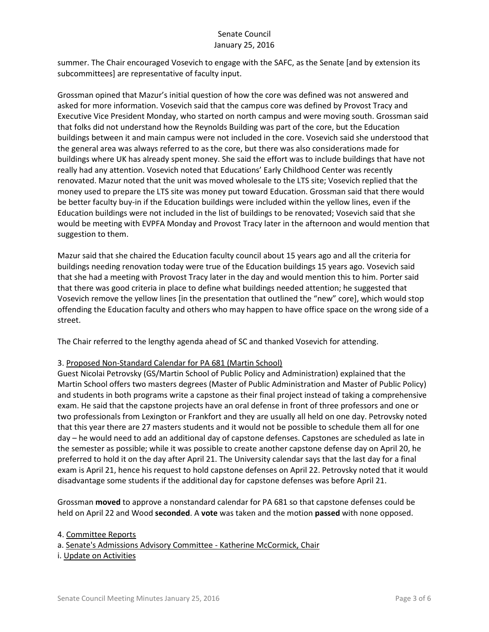summer. The Chair encouraged Vosevich to engage with the SAFC, as the Senate [and by extension its subcommittees] are representative of faculty input.

Grossman opined that Mazur's initial question of how the core was defined was not answered and asked for more information. Vosevich said that the campus core was defined by Provost Tracy and Executive Vice President Monday, who started on north campus and were moving south. Grossman said that folks did not understand how the Reynolds Building was part of the core, but the Education buildings between it and main campus were not included in the core. Vosevich said she understood that the general area was always referred to as the core, but there was also considerations made for buildings where UK has already spent money. She said the effort was to include buildings that have not really had any attention. Vosevich noted that Educations' Early Childhood Center was recently renovated. Mazur noted that the unit was moved wholesale to the LTS site; Vosevich replied that the money used to prepare the LTS site was money put toward Education. Grossman said that there would be better faculty buy-in if the Education buildings were included within the yellow lines, even if the Education buildings were not included in the list of buildings to be renovated; Vosevich said that she would be meeting with EVPFA Monday and Provost Tracy later in the afternoon and would mention that suggestion to them.

Mazur said that she chaired the Education faculty council about 15 years ago and all the criteria for buildings needing renovation today were true of the Education buildings 15 years ago. Vosevich said that she had a meeting with Provost Tracy later in the day and would mention this to him. Porter said that there was good criteria in place to define what buildings needed attention; he suggested that Vosevich remove the yellow lines [in the presentation that outlined the "new" core], which would stop offending the Education faculty and others who may happen to have office space on the wrong side of a street.

The Chair referred to the lengthy agenda ahead of SC and thanked Vosevich for attending.

# 3. Proposed Non-Standard Calendar for PA 681 (Martin School)

Guest Nicolai Petrovsky (GS/Martin School of Public Policy and Administration) explained that the Martin School offers two masters degrees (Master of Public Administration and Master of Public Policy) and students in both programs write a capstone as their final project instead of taking a comprehensive exam. He said that the capstone projects have an oral defense in front of three professors and one or two professionals from Lexington or Frankfort and they are usually all held on one day. Petrovsky noted that this year there are 27 masters students and it would not be possible to schedule them all for one day – he would need to add an additional day of capstone defenses. Capstones are scheduled as late in the semester as possible; while it was possible to create another capstone defense day on April 20, he preferred to hold it on the day after April 21. The University calendar says that the last day for a final exam is April 21, hence his request to hold capstone defenses on April 22. Petrovsky noted that it would disadvantage some students if the additional day for capstone defenses was before April 21.

Grossman **moved** to approve a nonstandard calendar for PA 681 so that capstone defenses could be held on April 22 and Wood **seconded**. A **vote** was taken and the motion **passed** with none opposed.

4. Committee Reports a. Senate's Admissions Advisory Committee - Katherine McCormick, Chair i. Update on Activities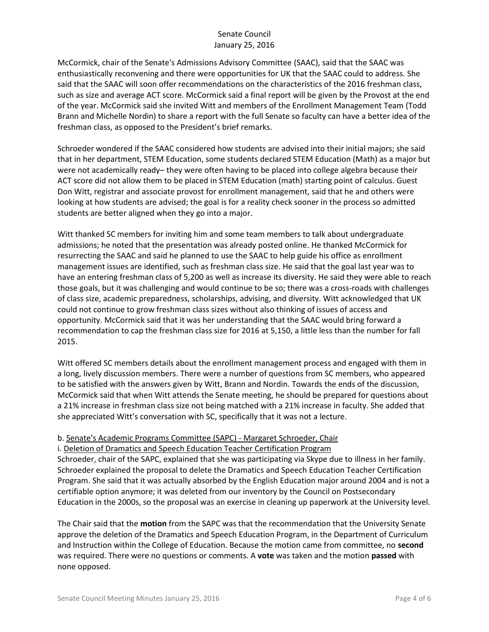McCormick, chair of the Senate's Admissions Advisory Committee (SAAC), said that the SAAC was enthusiastically reconvening and there were opportunities for UK that the SAAC could to address. She said that the SAAC will soon offer recommendations on the characteristics of the 2016 freshman class, such as size and average ACT score. McCormick said a final report will be given by the Provost at the end of the year. McCormick said she invited Witt and members of the Enrollment Management Team (Todd Brann and Michelle Nordin) to share a report with the full Senate so faculty can have a better idea of the freshman class, as opposed to the President's brief remarks.

Schroeder wondered if the SAAC considered how students are advised into their initial majors; she said that in her department, STEM Education, some students declared STEM Education (Math) as a major but were not academically ready– they were often having to be placed into college algebra because their ACT score did not allow them to be placed in STEM Education (math) starting point of calculus. Guest Don Witt, registrar and associate provost for enrollment management, said that he and others were looking at how students are advised; the goal is for a reality check sooner in the process so admitted students are better aligned when they go into a major.

Witt thanked SC members for inviting him and some team members to talk about undergraduate admissions; he noted that the presentation was already posted online. He thanked McCormick for resurrecting the SAAC and said he planned to use the SAAC to help guide his office as enrollment management issues are identified, such as freshman class size. He said that the goal last year was to have an entering freshman class of 5,200 as well as increase its diversity. He said they were able to reach those goals, but it was challenging and would continue to be so; there was a cross-roads with challenges of class size, academic preparedness, scholarships, advising, and diversity. Witt acknowledged that UK could not continue to grow freshman class sizes without also thinking of issues of access and opportunity. McCormick said that it was her understanding that the SAAC would bring forward a recommendation to cap the freshman class size for 2016 at 5,150, a little less than the number for fall 2015.

Witt offered SC members details about the enrollment management process and engaged with them in a long, lively discussion members. There were a number of questions from SC members, who appeared to be satisfied with the answers given by Witt, Brann and Nordin. Towards the ends of the discussion, McCormick said that when Witt attends the Senate meeting, he should be prepared for questions about a 21% increase in freshman class size not being matched with a 21% increase in faculty. She added that she appreciated Witt's conversation with SC, specifically that it was not a lecture.

# b. Senate's Academic Programs Committee (SAPC) - Margaret Schroeder, Chair

i. Deletion of Dramatics and Speech Education Teacher Certification Program

Schroeder, chair of the SAPC, explained that she was participating via Skype due to illness in her family. Schroeder explained the proposal to delete the Dramatics and Speech Education Teacher Certification Program. She said that it was actually absorbed by the English Education major around 2004 and is not a certifiable option anymore; it was deleted from our inventory by the Council on Postsecondary Education in the 2000s, so the proposal was an exercise in cleaning up paperwork at the University level.

The Chair said that the **motion** from the SAPC was that the recommendation that the University Senate approve the deletion of the Dramatics and Speech Education Program, in the Department of Curriculum and Instruction within the College of Education. Because the motion came from committee, no **second** was required. There were no questions or comments. A **vote** was taken and the motion **passed** with none opposed.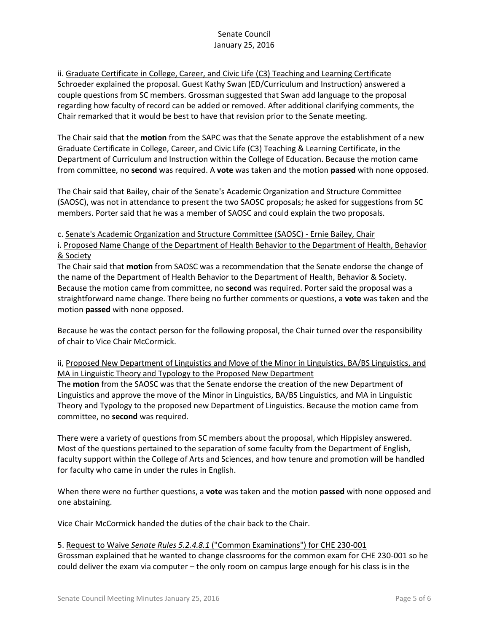ii. Graduate Certificate in College, Career, and Civic Life (C3) Teaching and Learning Certificate Schroeder explained the proposal. Guest Kathy Swan (ED/Curriculum and Instruction) answered a couple questions from SC members. Grossman suggested that Swan add language to the proposal regarding how faculty of record can be added or removed. After additional clarifying comments, the Chair remarked that it would be best to have that revision prior to the Senate meeting.

The Chair said that the **motion** from the SAPC was that the Senate approve the establishment of a new Graduate Certificate in College, Career, and Civic Life (C3) Teaching & Learning Certificate, in the Department of Curriculum and Instruction within the College of Education. Because the motion came from committee, no **second** was required. A **vote** was taken and the motion **passed** with none opposed.

The Chair said that Bailey, chair of the Senate's Academic Organization and Structure Committee (SAOSC), was not in attendance to present the two SAOSC proposals; he asked for suggestions from SC members. Porter said that he was a member of SAOSC and could explain the two proposals.

c. Senate's Academic Organization and Structure Committee (SAOSC) - Ernie Bailey, Chair

i. Proposed Name Change of the Department of Health Behavior to the Department of Health, Behavior & Society

The Chair said that **motion** from SAOSC was a recommendation that the Senate endorse the change of the name of the Department of Health Behavior to the Department of Health, Behavior & Society. Because the motion came from committee, no **second** was required. Porter said the proposal was a straightforward name change. There being no further comments or questions, a **vote** was taken and the motion **passed** with none opposed.

Because he was the contact person for the following proposal, the Chair turned over the responsibility of chair to Vice Chair McCormick.

ii, Proposed New Department of Linguistics and Move of the Minor in Linguistics, BA/BS Linguistics, and MA in Linguistic Theory and Typology to the Proposed New Department

The **motion** from the SAOSC was that the Senate endorse the creation of the new Department of Linguistics and approve the move of the Minor in Linguistics, BA/BS Linguistics, and MA in Linguistic Theory and Typology to the proposed new Department of Linguistics. Because the motion came from committee, no **second** was required.

There were a variety of questions from SC members about the proposal, which Hippisley answered. Most of the questions pertained to the separation of some faculty from the Department of English, faculty support within the College of Arts and Sciences, and how tenure and promotion will be handled for faculty who came in under the rules in English.

When there were no further questions, a **vote** was taken and the motion **passed** with none opposed and one abstaining.

Vice Chair McCormick handed the duties of the chair back to the Chair.

#### 5. Request to Waive *Senate Rules 5.2.4.8.1* ("Common Examinations") for CHE 230-001

Grossman explained that he wanted to change classrooms for the common exam for CHE 230-001 so he could deliver the exam via computer – the only room on campus large enough for his class is in the